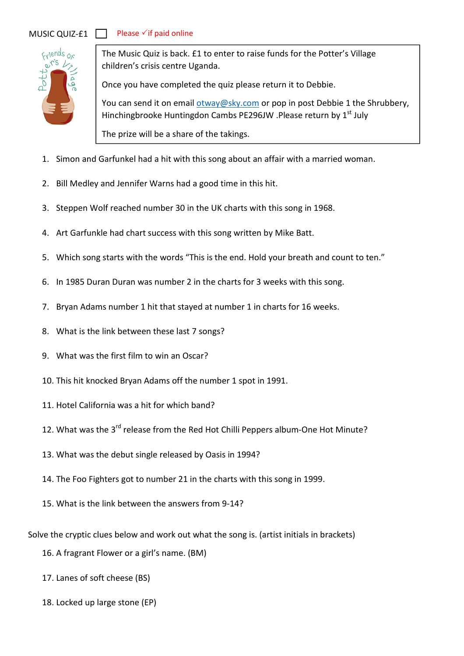## MUSIC QUIZ-£1



The Music Quiz is back. £1 to enter to raise funds for the Potter's Village children's crisis centre Uganda.

Once you have completed the quiz please return it to Debbie.

You can send it on email otway@sky.com or pop in post Debbie 1 the Shrubbery, Hinchingbrooke Huntingdon Cambs PE296JW .Please return by 1<sup>st</sup> July

The prize will be a share of the takings.

- 1. Simon and Garfunkel had a hit with this song about an affair with a married woman.
- 2. Bill Medley and Jennifer Warns had a good time in this hit.
- 3. Steppen Wolf reached number 30 in the UK charts with this song in 1968.
- 4. Art Garfunkle had chart success with this song written by Mike Batt.
- 5. Which song starts with the words "This is the end. Hold your breath and count to ten."
- 6. In 1985 Duran Duran was number 2 in the charts for 3 weeks with this song.
- 7. Bryan Adams number 1 hit that stayed at number 1 in charts for 16 weeks.
- 8. What is the link between these last 7 songs?
- 9. What was the first film to win an Oscar?
- 10. This hit knocked Bryan Adams off the number 1 spot in 1991.
- 11. Hotel California was a hit for which band?
- 12. What was the 3<sup>rd</sup> release from the Red Hot Chilli Peppers album-One Hot Minute?
- 13. What was the debut single released by Oasis in 1994?
- 14. The Foo Fighters got to number 21 in the charts with this song in 1999.
- 15. What is the link between the answers from 9-14?

Solve the cryptic clues below and work out what the song is. (artist initials in brackets)

16. A fragrant Flower or a girl's name. (BM)

17. Lanes of soft cheese (BS)

18. Locked up large stone (EP)